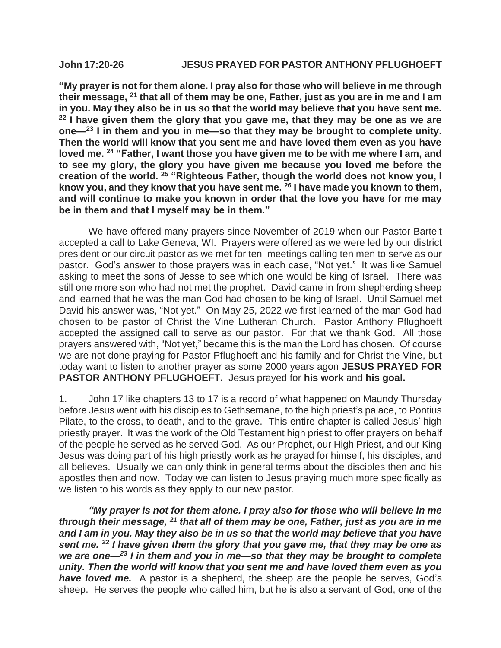## **John 17:20-26 JESUS PRAYED FOR PASTOR ANTHONY PFLUGHOEFT**

**"My prayer is not for them alone. I pray also for those who will believe in me through their message, <sup>21</sup> that all of them may be one, Father, just as you are in me and I am in you. May they also be in us so that the world may believe that you have sent me. <sup>22</sup> I have given them the glory that you gave me, that they may be one as we are one—<sup>23</sup> I in them and you in me—so that they may be brought to complete unity. Then the world will know that you sent me and have loved them even as you have loved me. <sup>24</sup> "Father, I want those you have given me to be with me where I am, and to see my glory, the glory you have given me because you loved me before the creation of the world. <sup>25</sup> "Righteous Father, though the world does not know you, I know you, and they know that you have sent me. <sup>26</sup> I have made you known to them, and will continue to make you known in order that the love you have for me may be in them and that I myself may be in them."**

We have offered many prayers since November of 2019 when our Pastor Bartelt accepted a call to Lake Geneva, WI. Prayers were offered as we were led by our district president or our circuit pastor as we met for ten meetings calling ten men to serve as our pastor. God's answer to those prayers was in each case, "Not yet." It was like Samuel asking to meet the sons of Jesse to see which one would be king of Israel. There was still one more son who had not met the prophet. David came in from shepherding sheep and learned that he was the man God had chosen to be king of Israel. Until Samuel met David his answer was, "Not yet." On May 25, 2022 we first learned of the man God had chosen to be pastor of Christ the Vine Lutheran Church. Pastor Anthony Pflughoeft accepted the assigned call to serve as our pastor. For that we thank God. All those prayers answered with, "Not yet," became this is the man the Lord has chosen. Of course we are not done praying for Pastor Pflughoeft and his family and for Christ the Vine, but today want to listen to another prayer as some 2000 years agon **JESUS PRAYED FOR PASTOR ANTHONY PFLUGHOEFT.** Jesus prayed for **his work** and **his goal.**

1. John 17 like chapters 13 to 17 is a record of what happened on Maundy Thursday before Jesus went with his disciples to Gethsemane, to the high priest's palace, to Pontius Pilate, to the cross, to death, and to the grave. This entire chapter is called Jesus' high priestly prayer. It was the work of the Old Testament high priest to offer prayers on behalf of the people he served as he served God. As our Prophet, our High Priest, and our King Jesus was doing part of his high priestly work as he prayed for himself, his disciples, and all believes. Usually we can only think in general terms about the disciples then and his apostles then and now. Today we can listen to Jesus praying much more specifically as we listen to his words as they apply to our new pastor.

*"My prayer is not for them alone. I pray also for those who will believe in me through their message, <sup>21</sup> that all of them may be one, Father, just as you are in me and I am in you. May they also be in us so that the world may believe that you have sent me. <sup>22</sup> I have given them the glory that you gave me, that they may be one as we are one—<sup>23</sup> I in them and you in me—so that they may be brought to complete unity. Then the world will know that you sent me and have loved them even as you have loved me.* A pastor is a shepherd, the sheep are the people he serves, God's sheep. He serves the people who called him, but he is also a servant of God, one of the